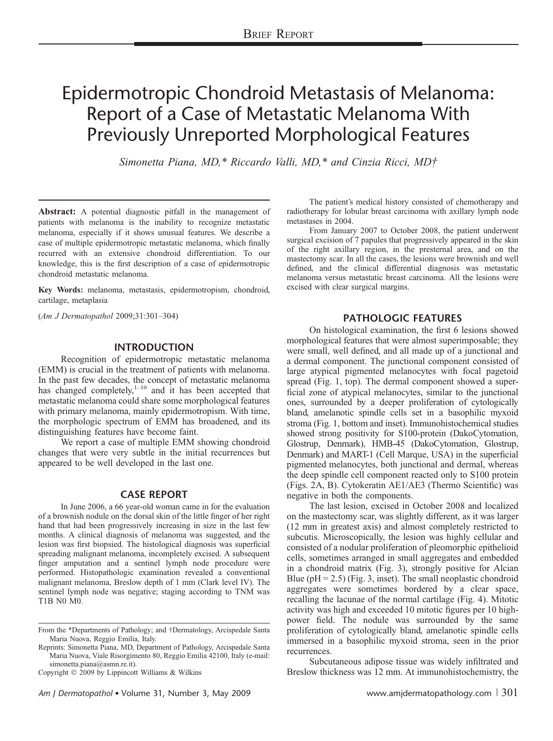# Epidermotropic Chondroid Metastasis of Melanoma: Report of a Case of Metastatic Melanoma With Previously Unreported Morphological Features

Simonetta Piana, MD,\* Riccardo Valli, MD,\* and Cinzia Ricci, MD†

Abstract: A potential diagnostic pitfall in the management of patients with melanoma is the inability to recognize metastatic melanoma, especially if it shows unusual features. We describe a case of multiple epidermotropic metastatic melanoma, which finally recurred with an extensive chondroid differentiation. To our knowledge, this is the first description of a case of epidermotropic chondroid metastatic melanoma.

Key Words: melanoma, metastasis, epidermotropism, chondroid, cartilage, metaplasia

(Am J Dermatopathol 2009;31:301–304)

# INTRODUCTION

Recognition of epidermotropic metastatic melanoma (EMM) is crucial in the treatment of patients with melanoma. In the past few decades, the concept of metastatic melanoma has changed completely, $1-10$  and it has been accepted that metastatic melanoma could share some morphological features with primary melanoma, mainly epidermotropism. With time, the morphologic spectrum of EMM has broadened, and its distinguishing features have become faint.

We report a case of multiple EMM showing chondroid changes that were very subtle in the initial recurrences but appeared to be well developed in the last one.

# CASE REPORT

In June 2006, a 66 year-old woman came in for the evaluation of a brownish nodule on the dorsal skin of the little finger of her right hand that had been progressively increasing in size in the last few months. A clinical diagnosis of melanoma was suggested, and the lesion was first biopsied. The histological diagnosis was superficial spreading malignant melanoma, incompletely excised. A subsequent finger amputation and a sentinel lymph node procedure were performed. Histopathologic examination revealed a conventional malignant melanoma, Breslow depth of 1 mm (Clark level IV). The sentinel lymph node was negative; staging according to TNM was T1B N0 M0.

Copyright  $©$  2009 by Lippincott Williams & Wilkins

The patient's medical history consisted of chemotherapy and radiotherapy for lobular breast carcinoma with axillary lymph node metastases in 2004.

From January 2007 to October 2008, the patient underwent surgical excision of 7 papules that progressively appeared in the skin of the right axillary region, in the presternal area, and on the mastectomy scar. In all the cases, the lesions were brownish and well defined, and the clinical differential diagnosis was metastatic melanoma versus metastatic breast carcinoma. All the lesions were excised with clear surgical margins.

# PATHOLOGIC FEATURES

On histological examination, the first 6 lesions showed morphological features that were almost superimposable; they were small, well defined, and all made up of a junctional and a dermal component. The junctional component consisted of large atypical pigmented melanocytes with focal pagetoid spread (Fig. 1, top). The dermal component showed a superficial zone of atypical melanocytes, similar to the junctional ones, surrounded by a deeper proliferation of cytologically bland, amelanotic spindle cells set in a basophilic myxoid stroma (Fig. 1, bottom and inset). Immunohistochemical studies showed strong positivity for S100-protein (DakoCytomation, Glostrup, Denmark), HMB-45 (DakoCytomation, Glostrup, Denmark) and MART-1 (Cell Marque, USA) in the superficial pigmented melanocytes, both junctional and dermal, whereas the deep spindle cell component reacted only to S100 protein (Figs. 2A, B). Cytokeratin AE1/AE3 (Thermo Scientific) was negative in both the components.

The last lesion, excised in October 2008 and localized on the mastectomy scar, was slightly different, as it was larger (12 mm in greatest axis) and almost completely restricted to subcutis. Microscopically, the lesion was highly cellular and consisted of a nodular proliferation of pleomorphic epithelioid cells, sometimes arranged in small aggregates and embedded in a chondroid matrix (Fig. 3), strongly positive for Alcian Blue ( $pH = 2.5$ ) (Fig. 3, inset). The small neoplastic chondroid aggregates were sometimes bordered by a clear space, recalling the lacunae of the normal cartilage (Fig. 4). Mitotic activity was high and exceeded 10 mitotic figures per 10 highpower field. The nodule was surrounded by the same proliferation of cytologically bland, amelanotic spindle cells immersed in a basophilic myxoid stroma, seen in the prior recurrences.

Subcutaneous adipose tissue was widely infiltrated and Breslow thickness was 12 mm. At immunohistochemistry, the

From the \*Departments of Pathology; and *†*Dermatology, Arcispedale Santa Maria Nuova, Reggio Emilia, Italy.

Reprints: Simonetta Piana, MD, Department of Pathology, Arcispedale Santa Maria Nuova, Viale Risorgimento 80, Reggio Emilia 42100, Italy (e-mail: simonetta.piana@asmn.re.it).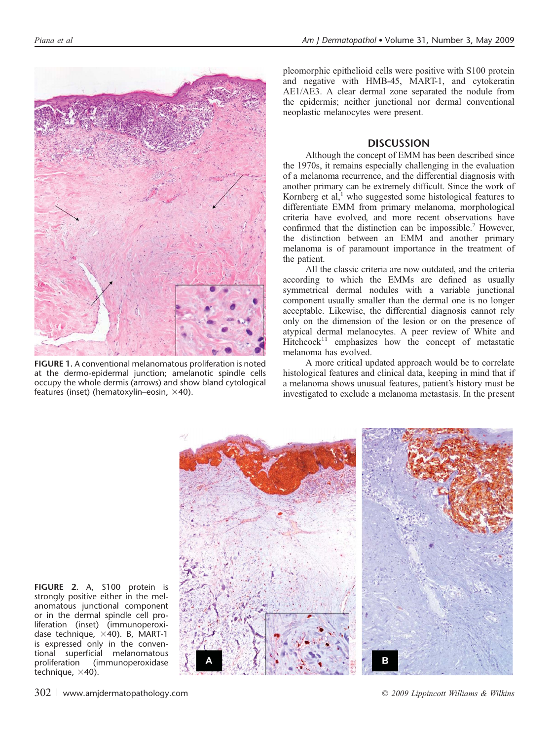

FIGURE 1. A conventional melanomatous proliferation is noted at the dermo-epidermal junction; amelanotic spindle cells occupy the whole dermis (arrows) and show bland cytological features (inset) (hematoxylin–eosin,  $\times$ 40).

pleomorphic epithelioid cells were positive with S100 protein and negative with HMB-45, MART-1, and cytokeratin AE1/AE3. A clear dermal zone separated the nodule from the epidermis; neither junctional nor dermal conventional neoplastic melanocytes were present.

## **DISCUSSION**

Although the concept of EMM has been described since the 1970s, it remains especially challenging in the evaluation of a melanoma recurrence, and the differential diagnosis with another primary can be extremely difficult. Since the work of Kornberg et al, $<sup>1</sup>$  who suggested some histological features to</sup> differentiate EMM from primary melanoma, morphological criteria have evolved, and more recent observations have confirmed that the distinction can be impossible.<sup>7</sup> However, the distinction between an EMM and another primary melanoma is of paramount importance in the treatment of the patient.

All the classic criteria are now outdated, and the criteria according to which the EMMs are defined as usually symmetrical dermal nodules with a variable junctional component usually smaller than the dermal one is no longer acceptable. Likewise, the differential diagnosis cannot rely only on the dimension of the lesion or on the presence of atypical dermal melanocytes. A peer review of White and  $Hitchcock<sup>11</sup>$  emphasizes how the concept of metastatic melanoma has evolved.

A more critical updated approach would be to correlate histological features and clinical data, keeping in mind that if a melanoma shows unusual features, patient's history must be investigated to exclude a melanoma metastasis. In the present



FIGURE 2. A, S100 protein is strongly positive either in the melanomatous junctional component or in the dermal spindle cell proliferation (inset) (immunoperoxidase technique,  $\times$ 40). B, MART-1 is expressed only in the conventional superficial melanomatous proliferation (immunoperoxidase technique,  $\times$ 40).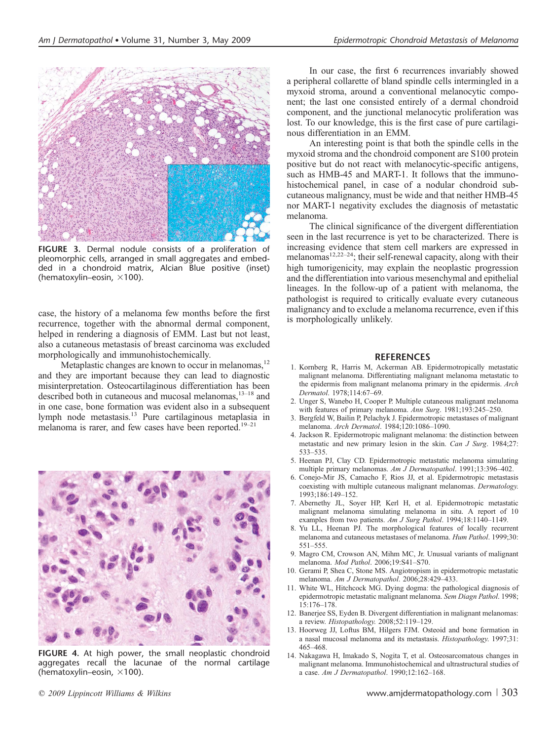

FIGURE 3. Dermal nodule consists of a proliferation of pleomorphic cells, arranged in small aggregates and embedded in a chondroid matrix, Alcian Blue positive (inset) (hematoxylin–eosin,  $\times$ 100).

case, the history of a melanoma few months before the first recurrence, together with the abnormal dermal component, helped in rendering a diagnosis of EMM. Last but not least, also a cutaneous metastasis of breast carcinoma was excluded morphologically and immunohistochemically.

Metaplastic changes are known to occur in melanomas,<sup>12</sup> and they are important because they can lead to diagnostic misinterpretation. Osteocartilaginous differentiation has been described both in cutaneous and mucosal melanomas,<sup>13-18</sup> and in one case, bone formation was evident also in a subsequent lymph node metastasis.13 Pure cartilaginous metaplasia in melanoma is rarer, and few cases have been reported.<sup>19–21</sup>



FIGURE 4. At high power, the small neoplastic chondroid aggregates recall the lacunae of the normal cartilage (hematoxylin–eosin,  $\times$ 100).

In our case, the first 6 recurrences invariably showed a peripheral collarette of bland spindle cells intermingled in a myxoid stroma, around a conventional melanocytic component; the last one consisted entirely of a dermal chondroid component, and the junctional melanocytic proliferation was lost. To our knowledge, this is the first case of pure cartilaginous differentiation in an EMM.

An interesting point is that both the spindle cells in the myxoid stroma and the chondroid component are S100 protein positive but do not react with melanocytic-specific antigens, such as HMB-45 and MART-1. It follows that the immunohistochemical panel, in case of a nodular chondroid subcutaneous malignancy, must be wide and that neither HMB-45 nor MART-1 negativity excludes the diagnosis of metastatic melanoma.

The clinical significance of the divergent differentiation seen in the last recurrence is yet to be characterized. There is increasing evidence that stem cell markers are expressed in melanomas<sup>12,22–24</sup>; their self-renewal capacity, along with their high tumorigenicity, may explain the neoplastic progression and the differentiation into various mesenchymal and epithelial lineages. In the follow-up of a patient with melanoma, the pathologist is required to critically evaluate every cutaneous malignancy and to exclude a melanoma recurrence, even if this is morphologically unlikely.

#### REFERENCES

- 1. Kornberg R, Harris M, Ackerman AB. Epidermotropically metastatic malignant melanoma. Differentiating malignant melanoma metastatic to the epidermis from malignant melanoma primary in the epidermis. Arch Dermatol. 1978;114:67–69.
- 2. Unger S, Wanebo H, Cooper P. Multiple cutaneous malignant melanoma with features of primary melanoma. Ann Surg. 1981;193:245-250.
- 3. Bergfeld W, Bailin P, Pelachyk J. Epidermotropic metastases of malignant melanoma. Arch Dermatol. 1984;120:1086–1090.
- 4. Jackson R. Epidermotropic malignant melanoma: the distinction between metastatic and new primary lesion in the skin. Can J Surg. 1984;27: 533–535.
- 5. Heenan PJ, Clay CD. Epidermotropic metastatic melanoma simulating multiple primary melanomas. Am J Dermatopathol. 1991;13:396-402.
- 6. Conejo-Mir JS, Camacho F, Rios JJ, et al. Epidermotropic metastasis coexisting with multiple cutaneous malignant melanomas. Dermatology. 1993;186:149–152.
- 7. Abernethy JL, Soyer HP, Kerl H, et al. Epidermotropic metastatic malignant melanoma simulating melanoma in situ. A report of 10 examples from two patients. Am J Surg Pathol. 1994;18:1140-1149.
- 8. Yu LL, Heenan PJ. The morphological features of locally recurrent melanoma and cutaneous metastases of melanoma. Hum Pathol. 1999;30: 551–555.
- 9. Magro CM, Crowson AN, Mihm MC, Jr. Unusual variants of malignant melanoma. Mod Pathol. 2006;19:S41–S70.
- 10. Gerami P, Shea C, Stone MS. Angiotropism in epidermotropic metastatic melanoma. Am J Dermatopathol. 2006;28:429–433.
- 11. White WL, Hitchcock MG. Dying dogma: the pathological diagnosis of epidermotropic metastatic malignant melanoma. Sem Diagn Pathol. 1998; 15:176–178.
- 12. Banerjee SS, Eyden B. Divergent differentiation in malignant melanomas: a review. Histopathology. 2008;52:119–129.
- 13. Hoorweg JJ, Loftus BM, Hilgers FJM. Osteoid and bone formation in a nasal mucosal melanoma and its metastasis. Histopathology. 1997;31: 465–468.
- 14. Nakagawa H, Imakado S, Nogita T, et al. Osteosarcomatous changes in malignant melanoma. Immunohistochemical and ultrastructural studies of a case. Am J Dermatopathol. 1990;12:162–168.